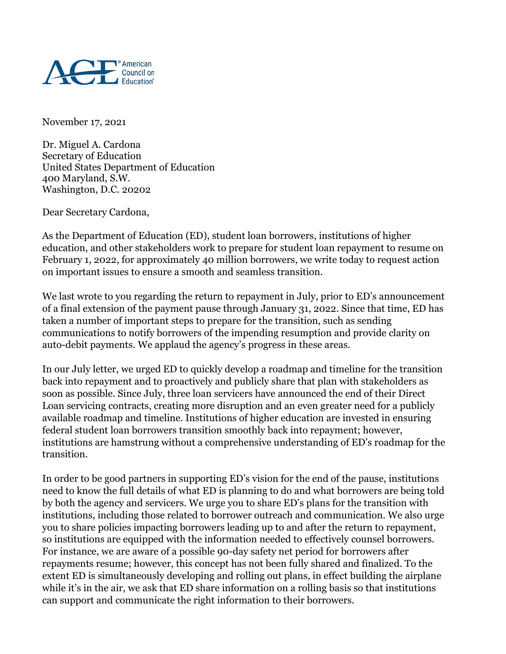

November 17, 2021

Dr. Miguel A. Cardona Secretary of Education United States Department of Education 400 Maryland, S.W. Washington, D.C. 20202

Dear Secretary Cardona,

As the Department of Education (ED), student loan borrowers, institutions of higher education, and other stakeholders work to prepare for student loan repayment to resume on February 1, 2022, for approximately 40 million borrowers, we write today to request action on important issues to ensure a smooth and seamless transition.

We last wrote to you regarding the return to repayment in July, prior to ED's announcement of a final extension of the payment pause through January 31, 2022. Since that time, ED has taken a number of important steps to prepare for the transition, such as sending communications to notify borrowers of the impending resumption and provide clarity on auto-debit payments. We applaud the agency's progress in these areas.

In our July letter, we urged ED to quickly develop a roadmap and timeline for the transition back into repayment and to proactively and publicly share that plan with stakeholders as soon as possible. Since July, three loan servicers have announced the end of their Direct Loan servicing contracts, creating more disruption and an even greater need for a publicly available roadmap and timeline. Institutions of higher education are invested in ensuring federal student loan borrowers transition smoothly back into repayment; however, institutions are hamstrung without a comprehensive understanding of ED's roadmap for the transition.

In order to be good partners in supporting ED's vision for the end of the pause, institutions need to know the full details of what ED is planning to do and what borrowers are being told by both the agency and servicers. We urge you to share ED's plans for the transition with institutions, including those related to borrower outreach and communication. We also urge you to share policies impacting borrowers leading up to and after the return to repayment, so institutions are equipped with the information needed to effectively counsel borrowers. For instance, we are aware of a possible 90-day safety net period for borrowers after repayments resume; however, this concept has not been fully shared and finalized. To the extent ED is simultaneously developing and rolling out plans, in effect building the airplane while it's in the air, we ask that ED share information on a rolling basis so that institutions can support and communicate the right information to their borrowers.